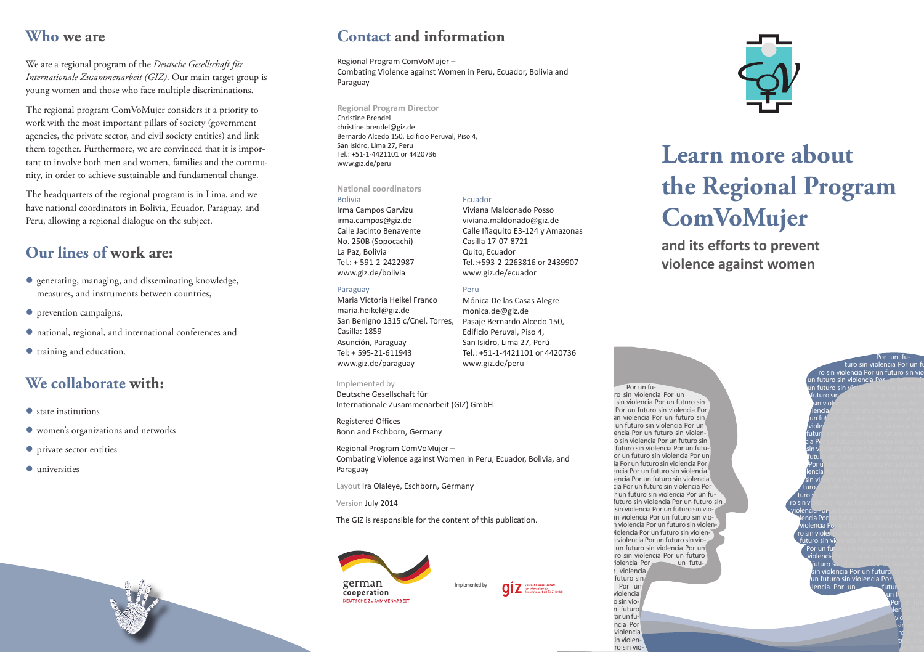## **Who we are**

We are a regional program of the *Deutsche Gesellschaft für Internationale Zusammenarbeit (GIZ)*. Our main target group is young women and those who face multiple discriminations.

The regional program ComVoMujer considers it a priority to work with the most important pillars of society (government agencies, the private sector, and civil society entities) and link them together. Furthermore, we are convinced that it is important to involve both men and women, families and the community, in order to achieve sustainable and fundamental change.

The headquarters of the regional program is in Lima, and we have national coordinators in Bolivia, Ecuador, Paraguay, and Peru, allowing a regional dialogue on the subject.

## **Our lines of work are:**

- $\bullet$  generating, managing, and disseminating knowledge, measures, and instruments between countries,
- $\bullet$  prevention campaigns,
- $\bullet$  national, regional, and international conferences and
- $\bullet$  training and education.

## **We collaborate with:**

- $\bullet$  state institutions
- $\bullet$  women's organizations and networks
- $\bullet$  private sector entities
- $\bullet$  universities

## **Contact and information**

Regional Program ComVoMujer – Combating Violence against Women in Peru, Ecuador, Bolivia and Paraguay

**Regional Program Director** Christine Brendel christine.brendel@giz.de Bernardo Alcedo 150, Edificio Peruval, Piso 4, San Isidro, Lima 27, Peru Tel: +51-1-4421101 or 4420736 www.giz.de/peru

#### **National coordinators**

#### Bolivia Irma Campos Garvizu

irma.campos@giz.de Calle Jacinto Benavente No. 250B (Sopocachi) La Paz, Bolivia Tel.: + 591-2-2422987 www.giz.de/bolivia

### Paraguay

Maria Victoria Heikel Franco maria.heikel@giz.de San Benigno 1315 c/Cnel. Torres, Casilla: 1859 Asunción, Paraguay Tel: + 595-21-611943 www.giz.de/paraguay

viviana.maldonado@giz.de Calle Iñaquito E3-124 y Amazonas Casilla 17-07-8721 Quito, Ecuador Tel.:+593-2-2263816 or 2439907 www.giz.de/ecuador Peru

Viviana Maldonado Posso

Ecuador

Mónica De las Casas Alegre monica.de@giz.de Pasaje Bernardo Alcedo 150, Edificio Peruval, Piso 4, San Isidro, Lima 27, Perú Tel.: +51-1-4421101 or 4420736 www.giz.de/peru

#### Implemented by

Deutsche Gesellschaft für Internationale Zusammenarbeit (GIZ) GmbH

Registered Offices Bonn and Eschborn, Germany

Regional Program ComVoMujer – Combating Violence against Women in Peru, Ecuador, Bolivia, and Paraguay

Layout Ira Olaleye, Eschborn, Germany

Version July 2014

The GIZ is responsible for the content of this publication.





# **Learn more about the Regional Program ComVoMujer**

**and its efforts to prevent violence against women**

Por un fu-<br>ro sin violencia Por un sin violencia Por un futuro sin Por un futuro sin violencia Por un futuro sin violencia Por un futuro sin un futuro sin violencia Por un encia Por un futuro sin violencia Por un futuro sin violencia Por un futuro sin violencia Por un futuro sin violencia Por un futuor un futuro sin violencia Por un ia Por un futuro sin violencia Por encia Por un futuro sin violencia encia Por un futuro sin violencia Por un futuro sin violencia Por un futuro sin violencia Por un futuro sin violencia Por un futuro sin violencia Por un fufuturo sin violencia Por un futuro sin<br>sin violencia Por un futuro sin viosin violencia Por un futuro sin vio-<br>in violencia Por un futuro sin vio-<br>n violencia Por un futuro sin violen-<br>ólencia Por un futuro sin violen-<br>violencia Por un futuro sin violen-<br>un futuro sin violencia Por un ro sin violencia Por un futuro siolencia Por un futu-<br>n violencia futuro sin. Por un violencia<br>o sin vion futuro or un funcia Por violencia

> in violenro sin vio-